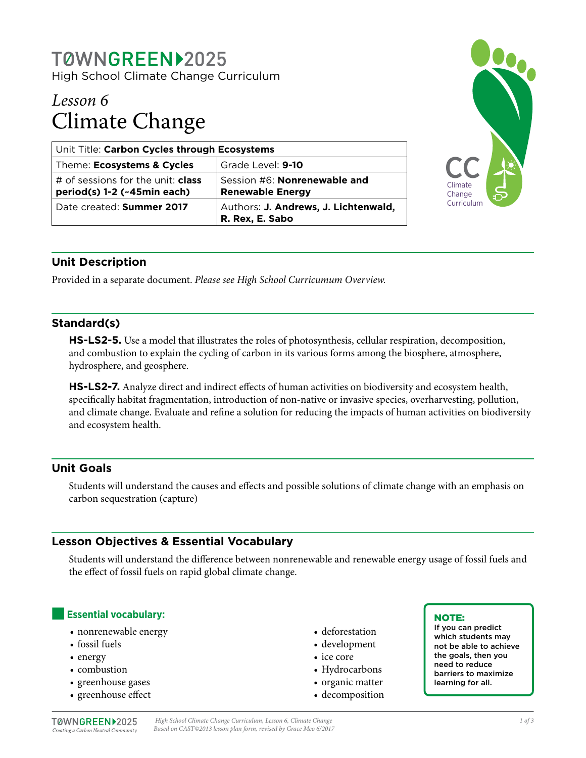# TØWNGREEN12025

High School Climate Change Curriculum

# *Lesson 6* Climate Change

| Unit Title: Carbon Cycles through Ecosystems                            |                                                                |
|-------------------------------------------------------------------------|----------------------------------------------------------------|
| Theme: Ecosystems & Cycles                                              | Grade Level: 9-10                                              |
| # of sessions for the unit: <b>class</b><br>period(s) 1-2 (~45min each) | Session #6: <b>Nonrenewable and</b><br><b>Renewable Energy</b> |
| Date created: Summer 2017                                               | Authors: J. Andrews, J. Lichtenwald,<br>R. Rex, E. Sabo        |



# **Unit Description**

Provided in a separate document. *Please see High School Curricumum Overview.*

## **Standard(s)**

**HS-LS2-5.** Use a model that illustrates the roles of photosynthesis, cellular respiration, decomposition, and combustion to explain the cycling of carbon in its various forms among the biosphere, atmosphere, hydrosphere, and geosphere.

**HS-LS2-7.** Analyze direct and indirect effects of human activities on biodiversity and ecosystem health, specifically habitat fragmentation, introduction of non-native or invasive species, overharvesting, pollution, and climate change. Evaluate and refine a solution for reducing the impacts of human activities on biodiversity and ecosystem health.

# **Unit Goals**

Students will understand the causes and effects and possible solutions of climate change with an emphasis on carbon sequestration (capture)

# **Lesson Objectives & Essential Vocabulary**

Students will understand the difference between nonrenewable and renewable energy usage of fossil fuels and the effect of fossil fuels on rapid global climate change.

## **Essential vocabulary:**

- nonrenewable energy
- fossil fuels
- energy
- combustion
- greenhouse gases
- greenhouse effect
- deforestation
- development
- ice core
- Hydrocarbons
- organic matter
- decomposition

#### NOTE:

If you can predict which students may not be able to achieve the goals, then you need to reduce barriers to maximize learning for all.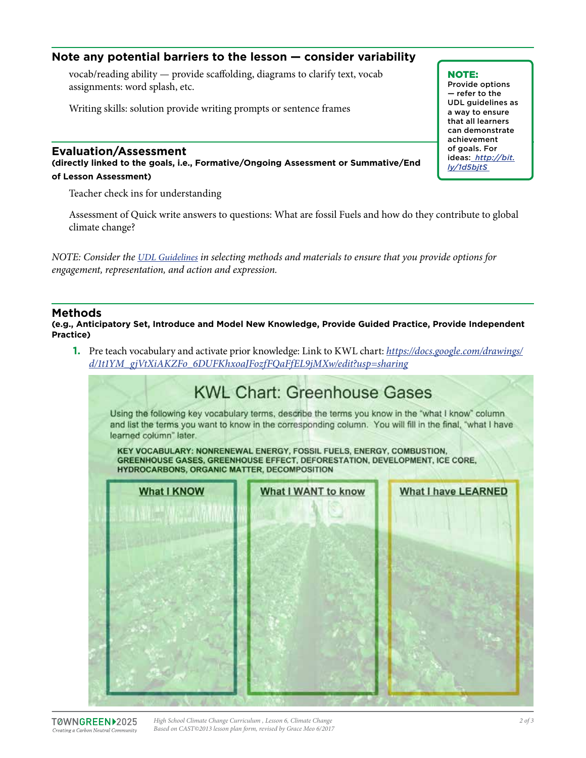# **Note any potential barriers to the lesson — consider variability**

vocab/reading ability — provide scaffolding, diagrams to clarify text, vocab assignments: word splash, etc.

Writing skills: solution provide writing prompts or sentence frames

#### **Evaluation/Assessment**

**(directly linked to the goals, i.e., Formative/Ongoing Assessment or Summative/End of Lesson Assessment)**

Teacher check ins for understanding

Assessment of Quick write answers to questions: What are fossil Fuels and how do they contribute to global climate change?

*NOTE: Consider the [UDL Guidelines](http://bit.ly/1d5bjtS) in selecting methods and materials to ensure that you provide options for engagement, representation, and action and expression.* 

#### **Methods**

**(e.g., Anticipatory Set, Introduce and Model New Knowledge, Provide Guided Practice, Provide Independent Practice)**

**1.** Pre teach vocabulary and activate prior knowledge: Link to KWL chart: *[https://docs.google.com/drawings/](https://docs.google.com/drawings/d/1t1YM_gjVtXiAKZFo_6DUFKhxoaJFozfFQaFfEL9jMXw/edit?usp=sharing) [d/1t1YM\\_gjVtXiAKZFo\\_6DUFKhxoaJFozfFQaFfEL9jMXw/edit?usp=sharing](https://docs.google.com/drawings/d/1t1YM_gjVtXiAKZFo_6DUFKhxoaJFozfFQaFfEL9jMXw/edit?usp=sharing)*



#### NOTE:

Provide options — refer to the UDL guidelines as a way to ensure that all learners can demonstrate achievement of goals. For ideas: *http://bit. ly/1d5bjtS*